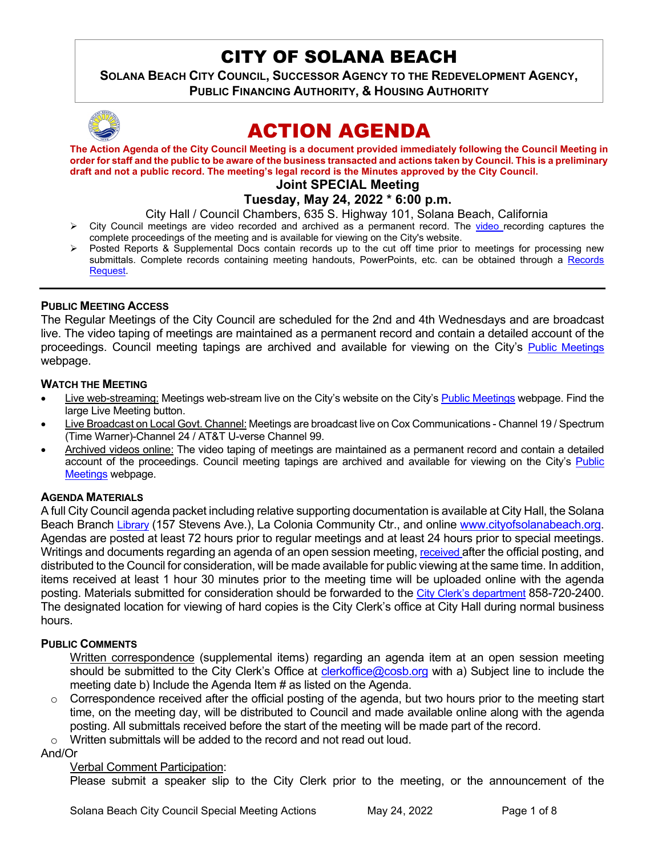# CITY OF SOLANA BEACH

**SOLANA BEACH CITY COUNCIL, SUCCESSOR AGENCY TO THE REDEVELOPMENT AGENCY, PUBLIC FINANCING AUTHORITY, & HOUSING AUTHORITY** 



# ACTION AGENDA

**The Action Agenda of the City Council Meeting is a document provided immediately following the Council Meeting in order for staff and the public to be aware of the business transacted and actions taken by Council. This is a preliminary draft and not a public record. The meeting's legal record is the Minutes approved by the City Council.** 

# **Joint SPECIAL Meeting**

**Tuesday, May 24, 2022 \* 6:00 p.m.** 

City Hall / Council Chambers, 635 S. Highway 101, Solana Beach, California

- $\triangleright$  City Council meetings are [video r](https://solanabeach.12milesout.com/#page=1)ecorded and archived as a permanent record. The video recording captures the complete proceedings of the meeting and is available for viewing on the City's website.
- Posted Reports & Supplemental Docs contain records up to the cut off time prior to meetings for processing new submittals. Complete records containing meeting handouts, PowerPoints, etc. can be obtained through a Records [Request.](http://www.ci.solana-beach.ca.us/index.asp?SEC=F5D45D10-70CE-4291-A27C-7BD633FC6742&Type=B_BASIC)

## **PUBLIC MEETING ACCESS**

The Regular Meetings of the City Council are scheduled for the 2nd and 4th Wednesdays and are broadcast live. The video taping of meetings are maintained as a permanent record and contain a detailed account of the proceedings. Council meeting tapings are archived and available for viewing on the City's [Public Meetings](https://www.ci.solana-beach.ca.us/index.asp?SEC=F0F1200D-21C6-4A88-8AE1-0BC07C1A81A7&Type=B_BASIC) webpage.

## **WATCH THE MEETING**

- Live web-streaming: Meetings web-stream live on the City's website on the City's [Public Meetings](https://urldefense.proofpoint.com/v2/url?u=https-3A__www.ci.solana-2Dbeach.ca.us_index.asp-3FSEC-3DF0F1200D-2D21C6-2D4A88-2D8AE1-2D0BC07C1A81A7-26Type-3DB-5FBASIC&d=DwMFAg&c=euGZstcaTDllvimEN8b7jXrwqOf-v5A_CdpgnVfiiMM&r=1XAsCUuqwK_tji2t0s1uIQ&m=wny2RVfZJ2tN24LkqZmkUWNpwL_peNtTZUBlTBZiMM4&s=WwpcEQpHHkFen6nS6q2waMuQ_VMZ-i1YZ60lD-dYRRE&e=) webpage. Find the large Live Meeting button.
- Live Broadcast on Local Govt. Channel: Meetings are broadcast live on Cox Communications Channel 19 / Spectrum (Time Warner)-Channel 24 / AT&T U-verse Channel 99.
- Archived videos online: The video taping of meetings are maintained as a permanent record and contain a detailed account of the proceedings. Council meeting tapings are archived and available for viewing on the City's [Public](https://urldefense.proofpoint.com/v2/url?u=https-3A__www.ci.solana-2Dbeach.ca.us_index.asp-3FSEC-3DF0F1200D-2D21C6-2D4A88-2D8AE1-2D0BC07C1A81A7-26Type-3DB-5FBASIC&d=DwMFAg&c=euGZstcaTDllvimEN8b7jXrwqOf-v5A_CdpgnVfiiMM&r=1XAsCUuqwK_tji2t0s1uIQ&m=wny2RVfZJ2tN24LkqZmkUWNpwL_peNtTZUBlTBZiMM4&s=WwpcEQpHHkFen6nS6q2waMuQ_VMZ-i1YZ60lD-dYRRE&e=)  [Meetings](https://urldefense.proofpoint.com/v2/url?u=https-3A__www.ci.solana-2Dbeach.ca.us_index.asp-3FSEC-3DF0F1200D-2D21C6-2D4A88-2D8AE1-2D0BC07C1A81A7-26Type-3DB-5FBASIC&d=DwMFAg&c=euGZstcaTDllvimEN8b7jXrwqOf-v5A_CdpgnVfiiMM&r=1XAsCUuqwK_tji2t0s1uIQ&m=wny2RVfZJ2tN24LkqZmkUWNpwL_peNtTZUBlTBZiMM4&s=WwpcEQpHHkFen6nS6q2waMuQ_VMZ-i1YZ60lD-dYRRE&e=) webpage.

## **AGENDA MATERIALS**

A full City Council agenda packet including relative supporting documentation is available at City Hall, the Solana Beach Branch [Library](http://www.sdcl.org/locations_SB.html) (157 Stevens Ave.), La Colonia Community Ctr., and online [www.cityofsolanabeach.org.](http://www.cityofsolanabeach.org/) Agendas are posted at least 72 hours prior to regular meetings and at least 24 hours prior to special meetings. Writings and documents regarding an agenda of an open session meeting, [received a](mailto:EMAILGRP-CityClerksOfc@cosb.org)fter the official posting, and distributed to the Council for consideration, will be made available for public viewing at the same time. In addition, items received at least 1 hour 30 minutes prior to the meeting time will be uploaded online with the agenda posting. Materials submitted for consideration should be forwarded to the [City Clerk's department](mailto:clerkoffice@cosb.org) 858-720-2400. The designated location for viewing of hard copies is the City Clerk's office at City Hall during normal business hours.

## **PUBLIC COMMENTS**

Written correspondence (supplemental items) regarding an agenda item at an open session meeting should be submitted to the City Clerk's Office at *clerkoffice@cosb.org* with a) Subject line to include the meeting date b) Include the Agenda Item # as listed on the Agenda.

- $\circ$  Correspondence received after the official posting of the agenda, but two hours prior to the meeting start time, on the meeting day, will be distributed to Council and made available online along with the agenda posting. All submittals received before the start of the meeting will be made part of the record.
- o Written submittals will be added to the record and not read out loud.

And/Or

## Verbal Comment Participation:

Please submit a speaker slip to the City Clerk prior to the meeting, or the announcement of the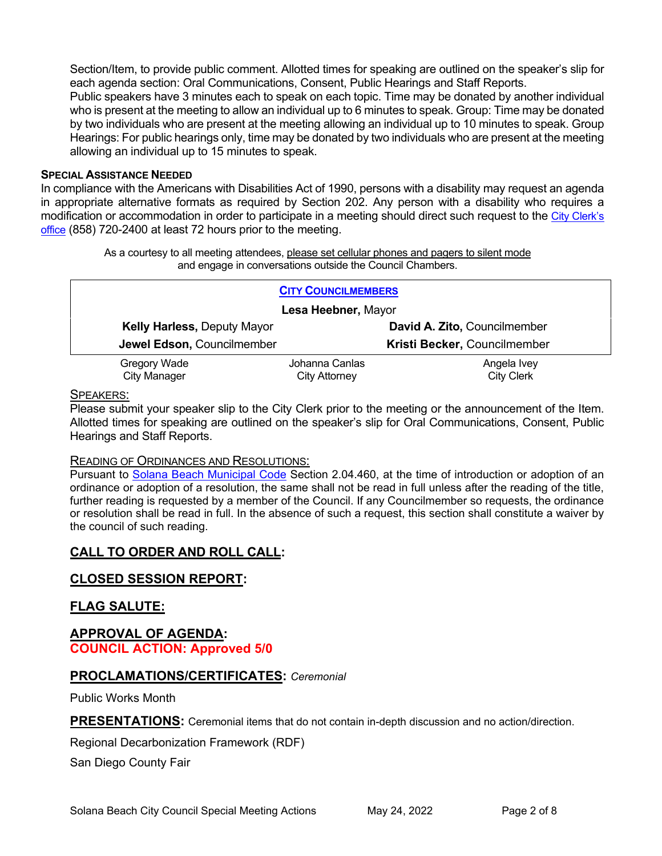Section/Item, to provide public comment. Allotted times for speaking are outlined on the speaker's slip for each agenda section: Oral Communications, Consent, Public Hearings and Staff Reports.

Public speakers have 3 minutes each to speak on each topic. Time may be donated by another individual who is present at the meeting to allow an individual up to 6 minutes to speak. Group: Time may be donated by two individuals who are present at the meeting allowing an individual up to 10 minutes to speak. Group Hearings: For public hearings only, time may be donated by two individuals who are present at the meeting allowing an individual up to 15 minutes to speak.

#### **SPECIAL ASSISTANCE NEEDED**

In compliance with the Americans with Disabilities Act of 1990, persons with a disability may request an agenda in appropriate alternative formats as required by Section 202. Any person with a disability who requires a modification or accommodation in order to participate in a meeting should direct such request to the [City Clerk's](mailto:clerkadmin@cosb.org?subject=City%20Clerk%20Notice%20of%20Special%20Services%20Needed)  [office](mailto:clerkadmin@cosb.org?subject=City%20Clerk%20Notice%20of%20Special%20Services%20Needed) (858) 720-2400 at least 72 hours prior to the meeting.

> As a courtesy to all meeting attendees, please set cellular phones and pagers to silent mode and engage in conversations outside the Council Chambers.

| <b>CITY COUNCILMEMBERS</b>         |                |                              |
|------------------------------------|----------------|------------------------------|
| Lesa Heebner, Mayor                |                |                              |
| <b>Kelly Harless, Deputy Mayor</b> |                | David A. Zito, Councilmember |
| Jewel Edson, Councilmember         |                | Kristi Becker, Councilmember |
| Gregory Wade                       | Johanna Canlas | Angela Ivey                  |
| <b>City Manager</b>                | City Attorney  | <b>City Clerk</b>            |

#### SPEAKERS:

Please submit your speaker slip to the City Clerk prior to the meeting or the announcement of the Item. Allotted times for speaking are outlined on the speaker's slip for Oral Communications, Consent, Public Hearings and Staff Reports.

## READING OF ORDINANCES AND RESOLUTIONS:

Pursuant to [Solana Beach Municipal Code](mailto:https://www.codepublishing.com/CA/SolanaBeach/) Section 2.04.460, at the time of introduction or adoption of an ordinance or adoption of a resolution, the same shall not be read in full unless after the reading of the title, further reading is requested by a member of the Council. If any Councilmember so requests, the ordinance or resolution shall be read in full. In the absence of such a request, this section shall constitute a waiver by the council of such reading.

# **CALL TO ORDER AND ROLL CALL:**

## **CLOSED SESSION REPORT:**

## **FLAG SALUTE:**

## **APPROVAL OF AGENDA: COUNCIL ACTION: Approved 5/0**

## **PROCLAMATIONS/CERTIFICATES:** *Ceremonial*

Public Works Month

**PRESENTATIONS:** Ceremonial items that do not contain in-depth discussion and no action/direction.

Regional Decarbonization Framework (RDF)

San Diego County Fair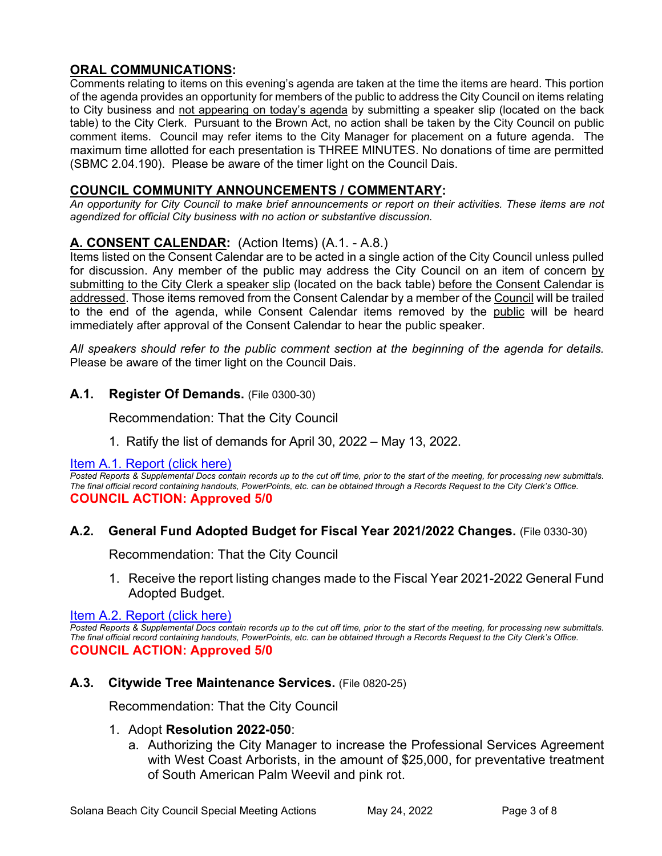# **ORAL COMMUNICATIONS:**

Comments relating to items on this evening's agenda are taken at the time the items are heard. This portion of the agenda provides an opportunity for members of the public to address the City Council on items relating to City business and not appearing on today's agenda by submitting a speaker slip (located on the back table) to the City Clerk. Pursuant to the Brown Act, no action shall be taken by the City Council on public comment items. Council may refer items to the City Manager for placement on a future agenda. The maximum time allotted for each presentation is THREE MINUTES. No donations of time are permitted (SBMC 2.04.190). Please be aware of the timer light on the Council Dais.

## **COUNCIL COMMUNITY ANNOUNCEMENTS / COMMENTARY:**

*An opportunity for City Council to make brief announcements or report on their activities. These items are not agendized for official City business with no action or substantive discussion.* 

# **A. CONSENT CALENDAR:** (Action Items) (A.1. - A.8.)

Items listed on the Consent Calendar are to be acted in a single action of the City Council unless pulled for discussion. Any member of the public may address the City Council on an item of concern by submitting to the City Clerk a speaker slip (located on the back table) before the Consent Calendar is addressed. Those items removed from the Consent Calendar by a member of the Council will be trailed to the end of the agenda, while Consent Calendar items removed by the public will be heard immediately after approval of the Consent Calendar to hear the public speaker.

*All speakers should refer to the public comment section at the beginning of the agenda for details.* Please be aware of the timer light on the Council Dais.

## **A.1. Register Of Demands.** (File 0300-30)

Recommendation: That the City Council

1. Ratify the list of demands for April 30, 2022 – May 13, 2022.

## [Item A.1. Report \(click here\)](https://solanabeach.govoffice3.com/vertical/Sites/%7B840804C2-F869-4904-9AE3-720581350CE7%7D/uploads/A.1._Report_-_5-24-22_-_O.pdf)

**Posted Reports & Supplemental Docs contain records up to the cut off time, prior to the start of the meeting, for processing new submittals.** *The final official record containing handouts, PowerPoints, etc. can be obtained through a Records Request to the City Clerk's Office.* **COUNCIL ACTION: Approved 5/0**

## **A.2. General Fund Adopted Budget for Fiscal Year 2021/2022 Changes.** (File 0330-30)

Recommendation: That the City Council

1. Receive the report listing changes made to the Fiscal Year 2021-2022 General Fund Adopted Budget.

[Item A.2. Report \(click here\)](https://solanabeach.govoffice3.com/vertical/Sites/%7B840804C2-F869-4904-9AE3-720581350CE7%7D/uploads/A.2._Report_-_5-24-22_-_O.pdf) 

**Posted Reports & Supplemental Docs contain records up to the cut off time, prior to the start of the meeting, for processing new submittals.** *The final official record containing handouts, PowerPoints, etc. can be obtained through a Records Request to the City Clerk's Office.* **COUNCIL ACTION: Approved 5/0**

## **A.3. Citywide Tree Maintenance Services.** (File 0820-25)

Recommendation: That the City Council

## 1. Adopt **Resolution 2022-050**:

a. Authorizing the City Manager to increase the Professional Services Agreement with West Coast Arborists, in the amount of \$25,000, for preventative treatment of South American Palm Weevil and pink rot.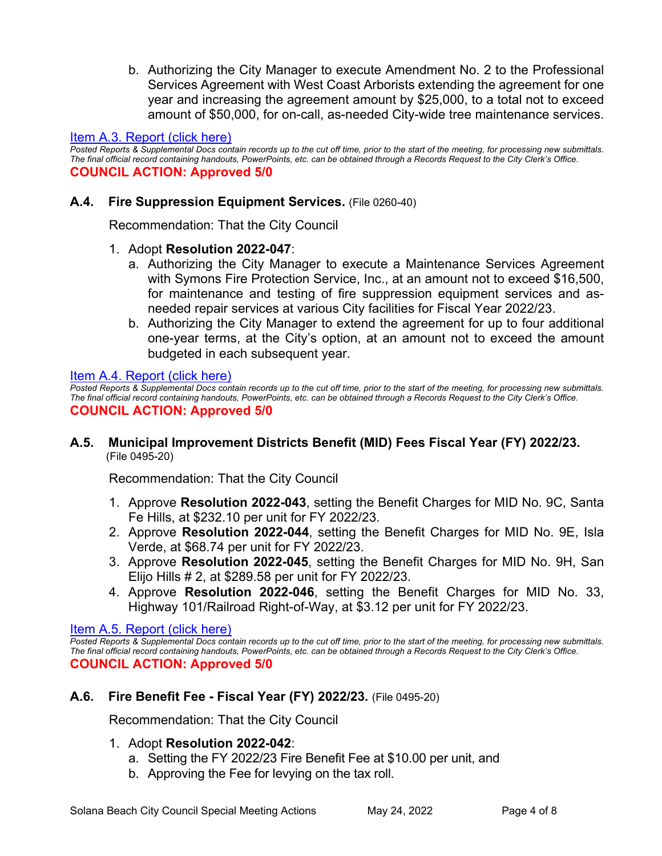b. Authorizing the City Manager to execute Amendment No. 2 to the Professional Services Agreement with West Coast Arborists extending the agreement for one year and increasing the agreement amount by \$25,000, to a total not to exceed amount of \$50,000, for on-call, as-needed City-wide tree maintenance services.

## [Item A.3. Report \(click here\)](https://solanabeach.govoffice3.com/vertical/Sites/%7B840804C2-F869-4904-9AE3-720581350CE7%7D/uploads/A.3._Report_-_5-24-22_-_O.pdf)

*Posted Reports & Supplemental Docs contain records up to the cut off time, prior to the start of the meeting, for processing new submittals. The final official record containing handouts, PowerPoints, etc. can be obtained through a Records Request to the City Clerk's Office.*  **COUNCIL ACTION: Approved 5/0**

## **A.4. Fire Suppression Equipment Services.** (File 0260-40)

Recommendation: That the City Council

- 1. Adopt **Resolution 2022-047**:
	- a. Authorizing the City Manager to execute a Maintenance Services Agreement with Symons Fire Protection Service, Inc., at an amount not to exceed \$16,500, for maintenance and testing of fire suppression equipment services and asneeded repair services at various City facilities for Fiscal Year 2022/23.
	- b. Authorizing the City Manager to extend the agreement for up to four additional one-year terms, at the City's option, at an amount not to exceed the amount budgeted in each subsequent year.

[Item A.4. Report \(click here\)](https://solanabeach.govoffice3.com/vertical/Sites/%7B840804C2-F869-4904-9AE3-720581350CE7%7D/uploads/A.4._Report_-_5-24-22_-_O.pdf) 

*Posted Reports & Supplemental Docs contain records up to the cut off time, prior to the start of the meeting, for processing new submittals. The final official record containing handouts, PowerPoints, etc. can be obtained through a Records Request to the City Clerk's Office.* **COUNCIL ACTION: Approved 5/0**

**A.5. Municipal Improvement Districts Benefit (MID) Fees Fiscal Year (FY) 2022/23.** (File 0495-20)

Recommendation: That the City Council

- 1. Approve **Resolution 2022-043**, setting the Benefit Charges for MID No. 9C, Santa Fe Hills, at \$232.10 per unit for FY 2022/23.
- 2. Approve **Resolution 2022-044**, setting the Benefit Charges for MID No. 9E, Isla Verde, at \$68.74 per unit for FY 2022/23.
- 3. Approve **Resolution 2022-045**, setting the Benefit Charges for MID No. 9H, San Elijo Hills # 2, at \$289.58 per unit for FY 2022/23.
- 4. Approve **Resolution 2022-046**, setting the Benefit Charges for MID No. 33, Highway 101/Railroad Right-of-Way, at \$3.12 per unit for FY 2022/23.

## [Item A.5. Report \(click here\)](https://solanabeach.govoffice3.com/vertical/Sites/%7B840804C2-F869-4904-9AE3-720581350CE7%7D/uploads/A.5._Report_-_5-24-22_-O.pdf)

*Posted Reports & Supplemental Docs contain records up to the cut off time, prior to the start of the meeting, for processing new submittals. The final official record containing handouts, PowerPoints, etc. can be obtained through a Records Request to the City Clerk's Office.* **COUNCIL ACTION: Approved 5/0**

## **A.6. Fire Benefit Fee - Fiscal Year (FY) 2022/23.** (File 0495-20)

Recommendation: That the City Council

- 1. Adopt **Resolution 2022-042**:
	- a. Setting the FY 2022/23 Fire Benefit Fee at \$10.00 per unit, and
	- b. Approving the Fee for levying on the tax roll.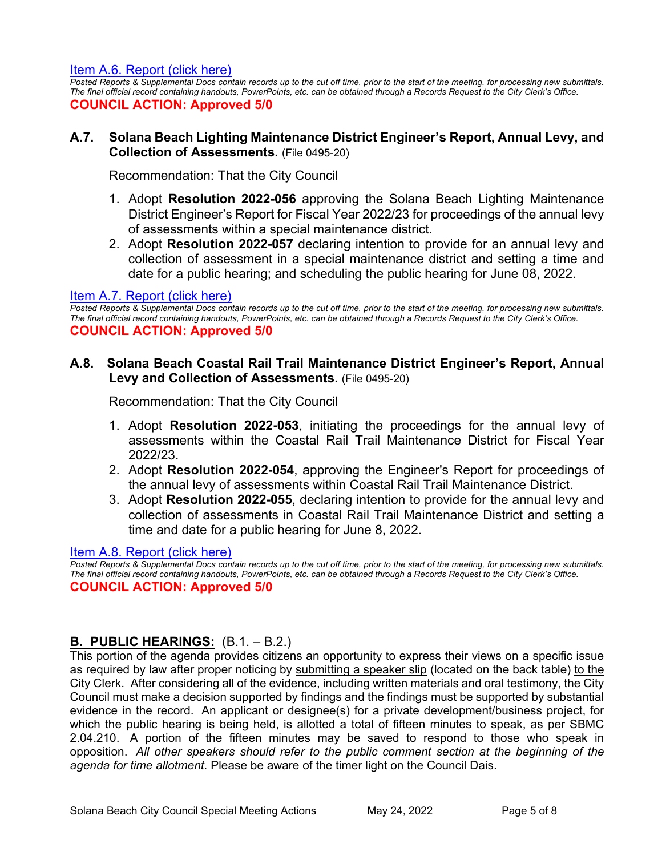[Item A.6. Report \(click here\)](https://solanabeach.govoffice3.com/vertical/Sites/%7B840804C2-F869-4904-9AE3-720581350CE7%7D/uploads/A.6._Report_-_5-24-22_-_O.pdf) 

*Posted Reports & Supplemental Docs contain records up to the cut off time, prior to the start of the meeting, for processing new submittals. The final official record containing handouts, PowerPoints, etc. can be obtained through a Records Request to the City Clerk's Office.*  **COUNCIL ACTION: Approved 5/0**

#### **A.7. Solana Beach Lighting Maintenance District Engineer's Report, Annual Levy, and Collection of Assessments.** (File 0495-20)

Recommendation: That the City Council

- 1. Adopt **Resolution 2022-056** approving the Solana Beach Lighting Maintenance District Engineer's Report for Fiscal Year 2022/23 for proceedings of the annual levy of assessments within a special maintenance district.
- 2. Adopt **Resolution 2022-057** declaring intention to provide for an annual levy and collection of assessment in a special maintenance district and setting a time and [date for a public hearing; and scheduling the public hearing for June 08, 2022.](https://solanabeach.govoffice3.com/vertical/Sites/%7B840804C2-F869-4904-9AE3-720581350CE7%7D/uploads/A.7._Report_-_5-24-22_-_O.pdf)

#### [Item A.7. Report \(click here\)](https://solanabeach.govoffice3.com/vertical/Sites/%7B840804C2-F869-4904-9AE3-720581350CE7%7D/uploads/A.7._Report_-_5-24-22_-_O.pdf)

*Posted Reports & Supplemental Docs contain records up to the cut off time, prior to the start of the meeting, for processing new submittals. The final official record containing handouts, PowerPoints, etc. can be obtained through a Records Request to the City Clerk's Office.*  **COUNCIL ACTION: Approved 5/0**

## **A.8. Solana Beach Coastal Rail Trail Maintenance District Engineer's Report, Annual Levy and Collection of Assessments.** (File 0495-20)

Recommendation: That the City Council

- 1. Adopt **Resolution 2022-053**, initiating the proceedings for the annual levy of assessments within the Coastal Rail Trail Maintenance District for Fiscal Year 2022/23.
- 2. Adopt **Resolution 2022-054**, approving the Engineer's Report for proceedings of the annual levy of assessments within Coastal Rail Trail Maintenance District.
- 3. Adopt **Resolution 2022-055**, declaring intention to provide for the annual levy and collection of assessments in Coastal Rail Trail Maintenance District and setting a time and date for a public hearing for June 8, 2022.

#### [Item A.8. Report \(click here\)](https://solanabeach.govoffice3.com/vertical/Sites/%7B840804C2-F869-4904-9AE3-720581350CE7%7D/uploads/A.8._Report_-_5-24-22_-_O.pdf)

**Posted Reports & Supplemental Docs contain records up to the cut off time, prior to the start of the meeting, for processing new submittals.** *The final official record containing handouts, PowerPoints, etc. can be obtained through a Records Request to the City Clerk's Office.* **COUNCIL ACTION: Approved 5/0**

## **B. PUBLIC HEARINGS:** (B.1. – B.2.)

This portion of the agenda provides citizens an opportunity to express their views on a specific issue as required by law after proper noticing by submitting a speaker slip (located on the back table) to the City Clerk. After considering all of the evidence, including written materials and oral testimony, the City Council must make a decision supported by findings and the findings must be supported by substantial evidence in the record. An applicant or designee(s) for a private development/business project, for which the public hearing is being held, is allotted a total of fifteen minutes to speak, as per SBMC 2.04.210. A portion of the fifteen minutes may be saved to respond to those who speak in opposition. *All other speakers should refer to the public comment section at the beginning of the agenda for time allotment.* Please be aware of the timer light on the Council Dais.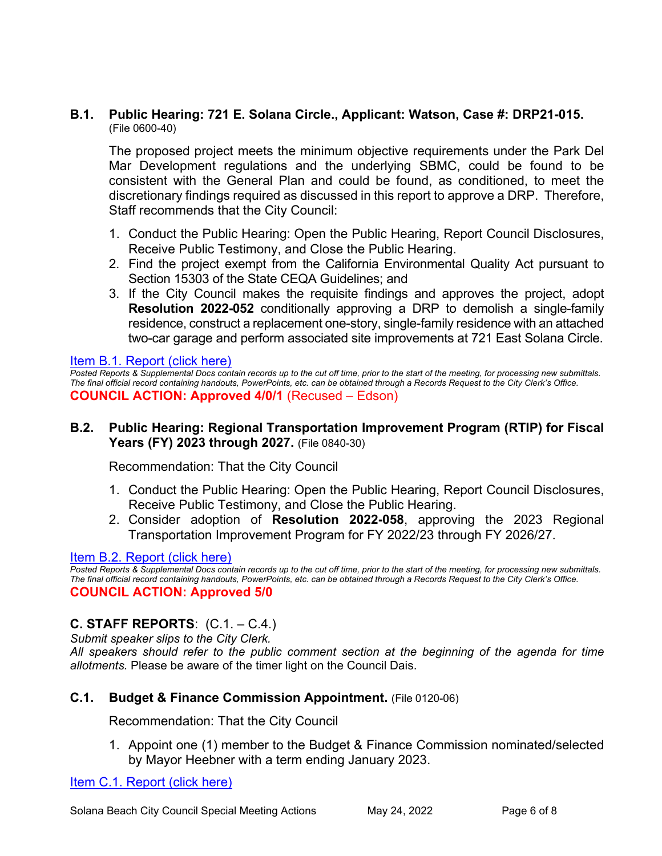## **B.1. Public Hearing: 721 E. Solana Circle., Applicant: Watson, Case #: DRP21-015.** (File 0600-40)

The proposed project meets the minimum objective requirements under the Park Del Mar Development regulations and the underlying SBMC, could be found to be consistent with the General Plan and could be found, as conditioned, to meet the discretionary findings required as discussed in this report to approve a DRP. Therefore, Staff recommends that the City Council:

- 1. Conduct the Public Hearing: Open the Public Hearing, Report Council Disclosures, Receive Public Testimony, and Close the Public Hearing.
- 2. Find the project exempt from the California Environmental Quality Act pursuant to Section 15303 of the State CEQA Guidelines; and
- 3. If the City Council makes the requisite findings and approves the project, adopt **Resolution 2022-052** conditionally approving a DRP to demolish a single-family residence, construct a replacement one-story, single-family residence with an attached two-car garage and perform associated site improvements at 721 East Solana Circle.

## [Item B.1. Report \(click here\)](https://solanabeach.govoffice3.com/vertical/Sites/%7B840804C2-F869-4904-9AE3-720581350CE7%7D/uploads/B.1._Report_-_5-24-22_-_O.pdf)

*Posted Reports & Supplemental Docs contain records up to the cut off time, prior to the start of the meeting, for processing new submittals. The final official record containing handouts, PowerPoints, etc. can be obtained through a Records Request to the City Clerk's Office.* **COUNCIL ACTION: Approved 4/0/1** (Recused – Edson)

## **B.2. Public Hearing: Regional Transportation Improvement Program (RTIP) for Fiscal Years (FY) 2023 through 2027.** (File 0840-30)

Recommendation: That the City Council

- 1. Conduct the Public Hearing: Open the Public Hearing, Report Council Disclosures, Receive Public Testimony, and Close the Public Hearing.
- 2. Consider adoption of **Resolution 2022-058**, approving the 2023 Regional Transportation Improvement Program for FY 2022/23 through FY 2026/27.

## [Item B.2. Report \(click here\)](https://solanabeach.govoffice3.com/vertical/Sites/%7B840804C2-F869-4904-9AE3-720581350CE7%7D/uploads/B.2._Report_-_5-24-22_-_O.pdf)

*Posted Reports & Supplemental Docs contain records up to the cut off time, prior to the start of the meeting, for processing new submittals. The final official record containing handouts, PowerPoints, etc. can be obtained through a Records Request to the City Clerk's Office.* **COUNCIL ACTION: Approved 5/0**

## **C. STAFF REPORTS**: (C.1. – C.4.)

*Submit speaker slips to the City Clerk.* 

*All speakers should refer to the public comment section at the beginning of the agenda for time allotments.* Please be aware of the timer light on the Council Dais.

## **C.1. Budget & Finance Commission Appointment.** (File 0120-06)

Recommendation: That the City Council

1. Appoint one (1) member to the Budget & Finance Commission nominated/selected by Mayor Heebner with a term ending January 2023.

[Item C.1. Report \(click here\)](https://solanabeach.govoffice3.com/vertical/Sites/%7B840804C2-F869-4904-9AE3-720581350CE7%7D/uploads/C.1._Report_-_5-24-22_-_O.pdf)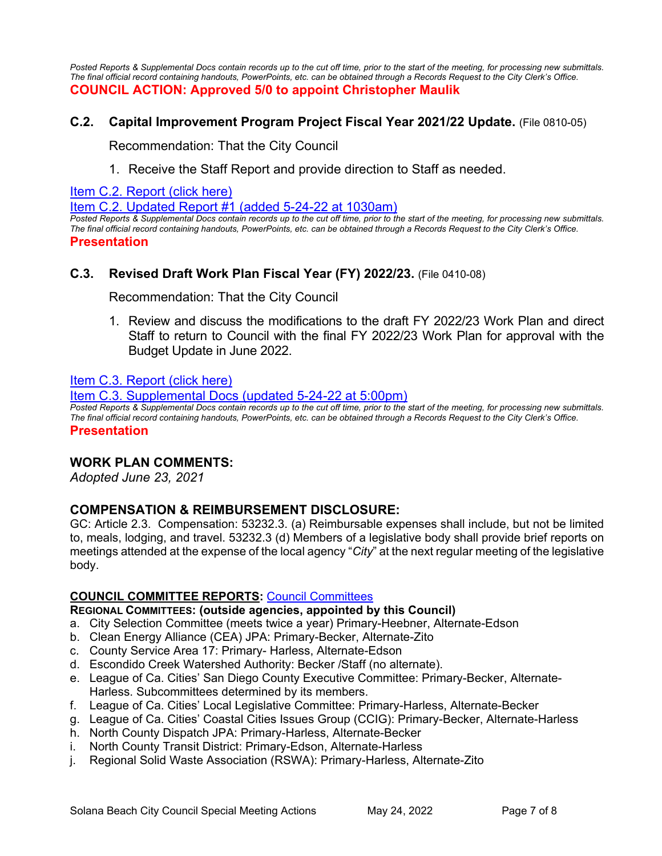Posted Reports & Supplemental Docs contain records up to the cut off time, prior to the start of the meeting, for processing new submittals. *The final official record containing handouts, PowerPoints, etc. can be obtained through a Records Request to the City Clerk's Office.* **COUNCIL ACTION: Approved 5/0 to appoint Christopher Maulik**

## **C.2. Capital Improvement Program Project Fiscal Year 2021/22 Update.** (File 0810-05)

Recommendation: That the City Council

1. Receive the Staff Report and provide direction to Staff as needed.

[Item C.2. Report \(click here\)](https://solanabeach.govoffice3.com/vertical/Sites/%7B840804C2-F869-4904-9AE3-720581350CE7%7D/uploads/C.2._Report_-_5-24-22_-_O(2).pdf) 

[Item C.2. Updated Report #1 \(added 5-24-22](https://solanabeach.govoffice3.com/vertical/Sites/%7B840804C2-F869-4904-9AE3-720581350CE7%7D/uploads/C.2._Upd_Report_1_-_o.pdf) at 1030am)

*Posted Reports & Supplemental Docs contain records up to the cut off time, prior to the start of the meeting, for processing new submittals. The final official record containing handouts, PowerPoints, etc. can be obtained through a Records Request to the City Clerk's Office.*  **Presentation** 

## **C.3. Revised Draft Work Plan Fiscal Year (FY) 2022/23.** (File 0410-08)

Recommendation: That the City Council

1. Review and discuss the modifications to the draft FY 2022/23 Work Plan and direct Staff to return to Council with the final FY 2022/23 Work Plan for approval with the [Budget Update in June 2022.](https://solanabeach.govoffice3.com/vertical/Sites/%7B840804C2-F869-4904-9AE3-720581350CE7%7D/uploads/C.3._Report_-_5-24-22_-_O.pdf)

#### [Item C.3. Report \(click here\)](https://solanabeach.govoffice3.com/vertical/Sites/%7B840804C2-F869-4904-9AE3-720581350CE7%7D/uploads/C.3._Report_-_5-24-22_-_O.pdf)

[Item C.3. Supplemental Docs \(updated 5-24-22 at 5:00pm\)](https://solanabeach.govoffice3.com/vertical/Sites/%7B840804C2-F869-4904-9AE3-720581350CE7%7D/uploads/C.3._Supp_Docs_(5-24_5pm)_-_O.pdf) 

*Posted Reports & Supplemental Docs contain records up to the cut off time, prior to the start of the meeting, for processing new submittals. The final official record containing handouts, PowerPoints, etc. can be obtained through a Records Request to the City Clerk's Office.*  **Presentation** 

## **WORK PLAN COMMENTS:**

*Adopted June 23, 2021*

## **COMPENSATION & REIMBURSEMENT DISCLOSURE:**

GC: Article 2.3. Compensation: 53232.3. (a) Reimbursable expenses shall include, but not be limited to, meals, lodging, and travel. 53232.3 (d) Members of a legislative body shall provide brief reports on meetings attended at the expense of the local agency "*City*" at the next regular meeting of the legislative body.

## **COUNCIL COMMITTEE REPORTS:** [Council Committees](https://www.ci.solana-beach.ca.us/index.asp?SEC=584E1192-3850-46EA-B977-088AC3E81E0D&Type=B_BASIC)

**REGIONAL COMMITTEES: (outside agencies, appointed by this Council)**

- a. City Selection Committee (meets twice a year) Primary-Heebner, Alternate-Edson
- b. Clean Energy Alliance (CEA) JPA: Primary-Becker, Alternate-Zito
- c. County Service Area 17: Primary- Harless, Alternate-Edson
- d. Escondido Creek Watershed Authority: Becker /Staff (no alternate).
- e. League of Ca. Cities' San Diego County Executive Committee: Primary-Becker, Alternate-Harless. Subcommittees determined by its members.
- f. League of Ca. Cities' Local Legislative Committee: Primary-Harless, Alternate-Becker
- g. League of Ca. Cities' Coastal Cities Issues Group (CCIG): Primary-Becker, Alternate-Harless
- h. North County Dispatch JPA: Primary-Harless, Alternate-Becker
- i. North County Transit District: Primary-Edson, Alternate-Harless
- j. Regional Solid Waste Association (RSWA): Primary-Harless, Alternate-Zito